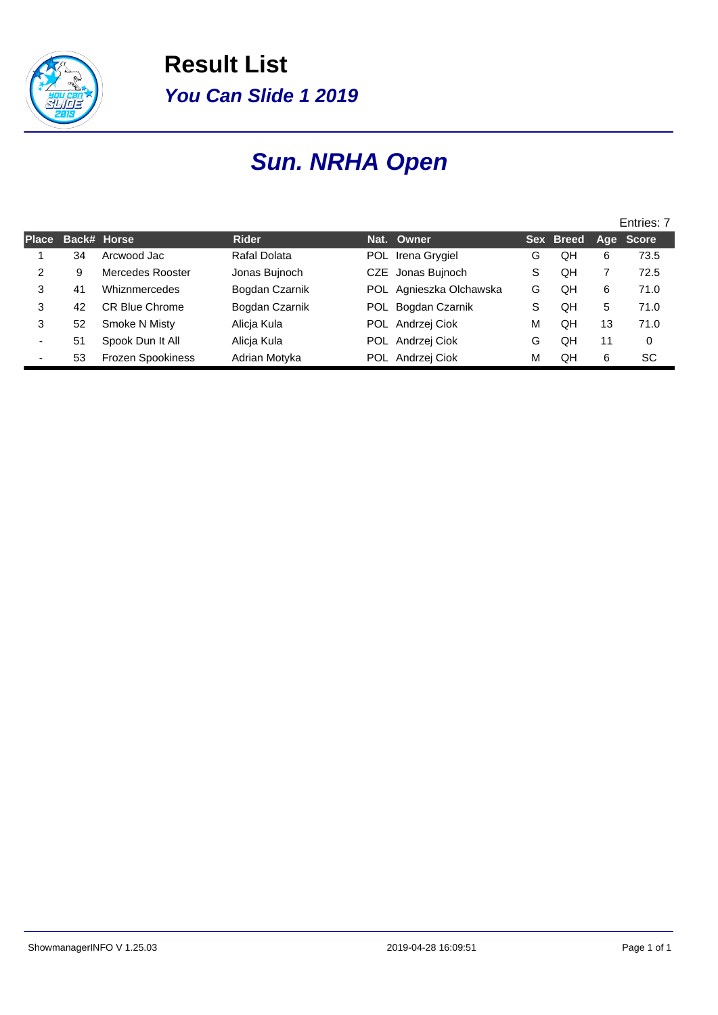

**Result List You Can Slide 1 2019**

# **Sun. NRHA Open**

|              |    |                          |                |      |                         |   |           |    | Entries: 7 |
|--------------|----|--------------------------|----------------|------|-------------------------|---|-----------|----|------------|
| <b>Place</b> |    | Back# Horse              | <b>Rider</b>   |      | Nat. Owner              |   | Sex Breed |    | Age Score  |
|              | 34 | Arcwood Jac              | Rafal Dolata   | POL. | Irena Grygiel           | G | QH        | 6  | 73.5       |
| 2            | 9  | Mercedes Rooster         | Jonas Bujnoch  |      | CZE Jonas Bujnoch       | S | QΗ        |    | 72.5       |
| 3            | 41 | Whiznmercedes            | Bogdan Czarnik |      | POL Agnieszka Olchawska | G | OН        | 6  | 71.0       |
| 3            | 42 | CR Blue Chrome           | Bogdan Czarnik |      | POL Bogdan Czarnik      | S | QH        | 5  | 71.0       |
| 3            | 52 | Smoke N Misty            | Alicja Kula    |      | POL Andrzej Ciok        | M | QΗ        | 13 | 71.0       |
|              | 51 | Spook Dun It All         | Alicja Kula    |      | POL Andrzej Ciok        | G | QH        | 11 | $\Omega$   |
|              | 53 | <b>Frozen Spookiness</b> | Adrian Motyka  |      | POL Andrzej Ciok        | M | QΗ        | 6  | SC         |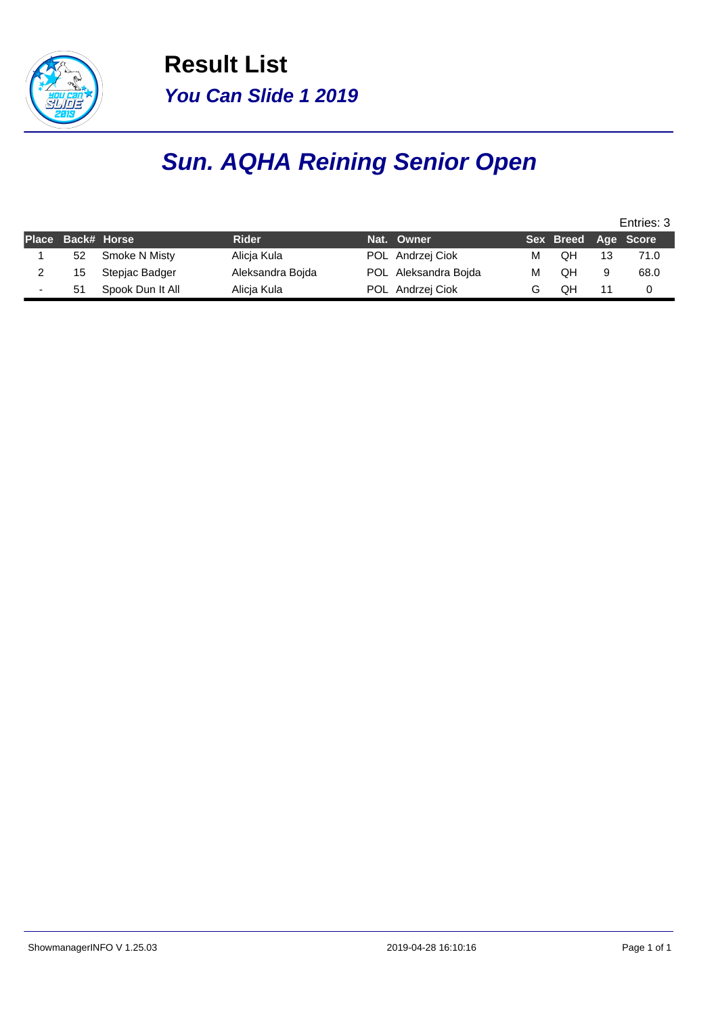

**Result List You Can Slide 1 2019**

# **Sun. AQHA Reining Senior Open**

|                   |                  |                  |                      |   |                     |   | Entries: 3 |
|-------------------|------------------|------------------|----------------------|---|---------------------|---|------------|
| Place Back# Horse |                  | <b>Rider</b>     | Nat. Owner           |   | Sex Breed Age Score |   |            |
| 52                | Smoke N Misty    | Alicia Kula      | POL Andrzej Ciok     | м | OН                  |   | 71.0       |
| 15                | Stepjac Badger   | Aleksandra Boida | POL Aleksandra Bojda | М | OΗ                  | 9 | 68.0       |
| 51                | Spook Dun It All | Alicia Kula      | POL Andrzej Ciok     |   | OΗ                  |   |            |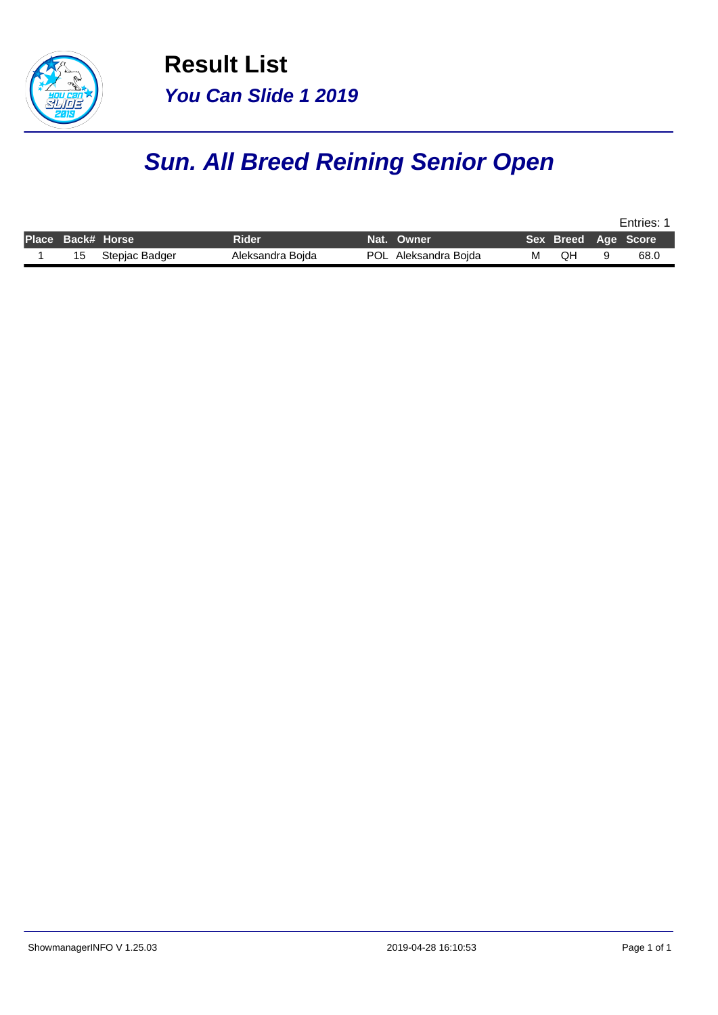

**Result List You Can Slide 1 2019**

# **Sun. All Breed Reining Senior Open**

|                   |                |                  |            |                      |   | Entries: |  |                     |  |  |  |  |
|-------------------|----------------|------------------|------------|----------------------|---|----------|--|---------------------|--|--|--|--|
| Place Back# Horse |                | Rider            | Nat. Owner |                      |   |          |  | Sex Breed Age Score |  |  |  |  |
| 15                | Stepjac Badger | Aleksandra Bojda |            | POL Aleksandra Bojda | м | ЮH       |  | 68.0                |  |  |  |  |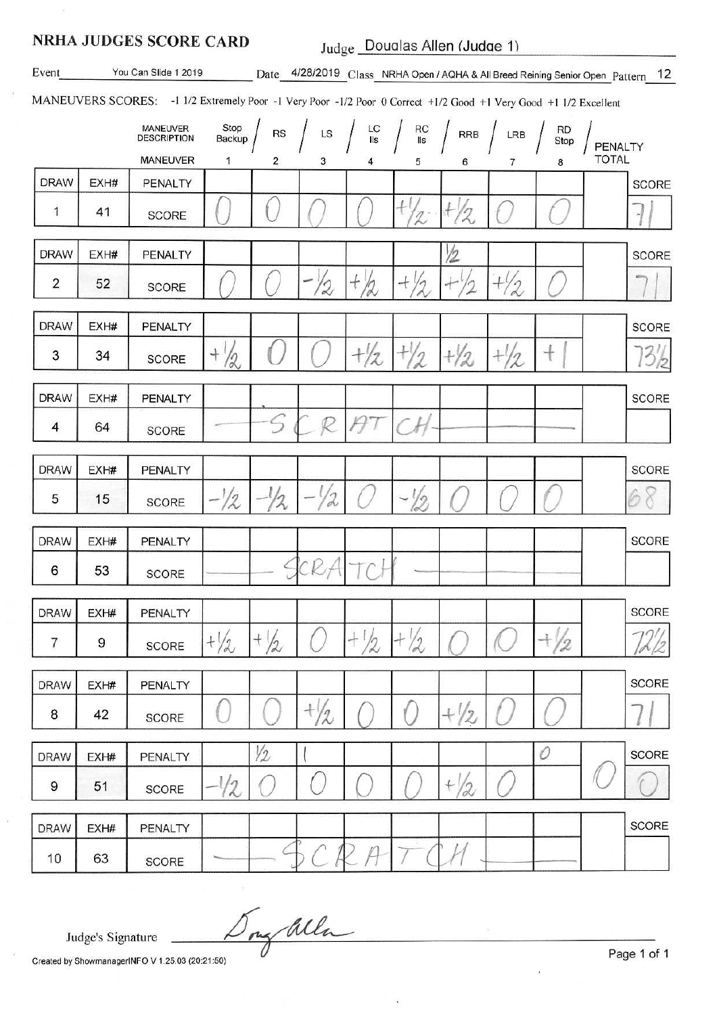#### **NRHA JUDGES SCORE CARD**

Judge\_Doualas Allen (Judge 1)

Event

You Can Slide 1 2019

Date 4/28/2019 Class NRHA Open / AQHA & All Breed Reining Senior Open Pattern 12

MANEUVERS SCORES: -1 1/2 Extremely Poor -1 Very Poor -1/2 Poor 0 Correct +1/2 Good +1 Very Good +1 1/2 Excellent

|                |      | MANEUVER<br><b>DESCRIPTION</b><br>MANEUVER | Stop<br>Backup<br>1 | RS<br>$\overline{2}$ | LS<br>3                                | LC<br>IIs<br>4         | RC<br>IIs<br>5  | RRB<br>6                             | LRB<br>$\overline{7}$ | <b>RD</b><br>Stop<br>8 | PENALTY<br><b>TOTAL</b> |
|----------------|------|--------------------------------------------|---------------------|----------------------|----------------------------------------|------------------------|-----------------|--------------------------------------|-----------------------|------------------------|-------------------------|
| <b>DRAW</b>    | EXH# | PENALTY                                    |                     |                      |                                        |                        |                 |                                      |                       |                        | <b>SCORE</b>            |
| 1              | 41   | SCORE                                      |                     |                      |                                        |                        | $+$<br>2        | $\frac{1}{\sqrt{2}}$<br>$\mathbb{Z}$ |                       |                        | ٠I                      |
| <b>DRAW</b>    | EXH# | PENALTY                                    |                     |                      |                                        |                        |                 | $\frac{1}{2}$                        |                       |                        | <b>SCORE</b>            |
| $\overline{2}$ | 52   | SCORE                                      |                     |                      | $\overline{\phantom{a}}$<br>$\sqrt{2}$ | $+22$                  | $+$<br>$/ \eta$ | $+$<br>2                             | $+0$<br>$\frac{7}{2}$ |                        |                         |
| <b>DRAW</b>    | EXH# | PENALTY                                    |                     |                      |                                        |                        |                 |                                      |                       |                        | <b>SCORE</b>            |
| 3              | 34   | <b>SCORE</b>                               | $^{+}$<br>12        |                      |                                        | $+\frac{1}{2}$         | $+1/2$          | $\frac{1}{2}$                        | $+^l$<br>12           | $^{+}$                 | 3/2                     |
| <b>DRAW</b>    | EXH# | PENALTY                                    |                     |                      |                                        |                        |                 |                                      |                       |                        | <b>SCORE</b>            |
| 4              | 64   | <b>SCORE</b>                               |                     | $\varsigma$          | P                                      | Ĥ                      |                 |                                      |                       |                        |                         |
| <b>DRAW</b>    | EXH# | PENALTY                                    |                     |                      |                                        |                        |                 |                                      |                       |                        | <b>SCORE</b>            |
| 5              | 15   | <b>SCORE</b>                               | 12                  | 2                    | 2                                      |                        | 79              |                                      |                       |                        | 6<br>8                  |
| <b>DRAW</b>    | EXH# | PENALTY                                    |                     |                      |                                        |                        |                 |                                      |                       |                        | <b>SCORE</b>            |
| 6              | 53   | <b>SCORE</b>                               |                     |                      | 'Cl2                                   |                        |                 |                                      |                       |                        |                         |
| <b>DRAW</b>    | EXH# | PENALTY                                    |                     |                      |                                        |                        |                 |                                      |                       |                        | SCORE                   |
| 7              | 9    | <b>SCORE</b>                               | $+\sqrt{2}$         | $+ \frac{1}{2}$      |                                        | $\mathfrak{t}^+$<br>/2 | $+$<br>12       |                                      |                       | $^{+}$<br>-12          | 72/2                    |
| <b>DRAW</b>    | EXH# | PENALTY                                    |                     |                      |                                        |                        |                 |                                      |                       |                        | SCORE                   |
| 8              | 42   | SCORE                                      |                     |                      | $+\frac{1}{2}$                         |                        |                 | $+\sqrt{2}$                          |                       |                        |                         |
| <b>DRAW</b>    | EXH# | PENALTY                                    |                     | <i>V2</i>            |                                        |                        |                 |                                      |                       | 0                      | <b>SCORE</b>            |
| 9              | 51   | SCORE                                      | $\sqrt{2}$          |                      |                                        |                        |                 | $+1/2$                               |                       |                        |                         |
| <b>DRAW</b>    | EXH# | PENALTY                                    |                     |                      |                                        |                        |                 |                                      |                       |                        | SCORE                   |
| 10             | 63   | SCORE                                      |                     |                      |                                        |                        |                 |                                      |                       |                        |                         |

Ing alla

Judge's Signature

Created by ShowmanagerINFO V 1.25.03 (20:21:50)

Page 1 of 1